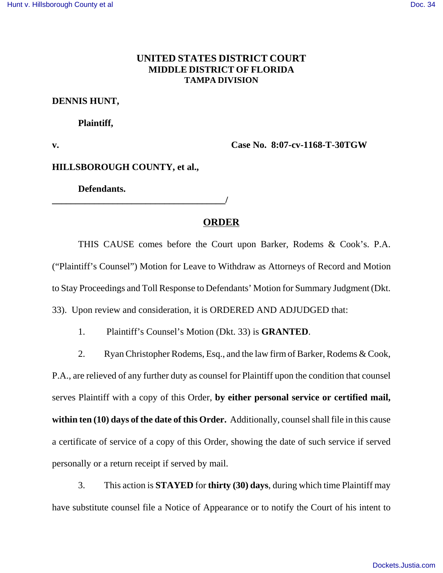# **UNITED STATES DISTRICT COURT MIDDLE DISTRICT OF FLORIDA TAMPA DIVISION**

### **DENNIS HUNT,**

#### **Plaintiff,**

**v. Case No. 8:07-cv-1168-T-30TGW** 

#### **HILLSBOROUGH COUNTY, et al.,**

**Defendants.**

**\_\_\_\_\_\_\_\_\_\_\_\_\_\_\_\_\_\_\_\_\_\_\_\_\_\_\_\_\_\_\_\_\_\_\_\_\_/** 

## **ORDER**

THIS CAUSE comes before the Court upon Barker, Rodems & Cook's. P.A. ("Plaintiff's Counsel") Motion for Leave to Withdraw as Attorneys of Record and Motion to Stay Proceedings and Toll Response to Defendants' Motion for Summary Judgment (Dkt. 33). Upon review and consideration, it is ORDERED AND ADJUDGED that:

1. Plaintiff's Counsel's Motion (Dkt. 33) is **GRANTED**.

2. Ryan Christopher Rodems, Esq., and the law firm of Barker, Rodems & Cook, P.A., are relieved of any further duty as counsel for Plaintiff upon the condition that counsel serves Plaintiff with a copy of this Order, **by either personal service or certified mail, within ten (10) days of the date of this Order.** Additionally, counsel shall file in this cause a certificate of service of a copy of this Order, showing the date of such service if served personally or a return receipt if served by mail.

3. This action is **STAYED** for **thirty (30) days**, during which time Plaintiff may have substitute counsel file a Notice of Appearance or to notify the Court of his intent to